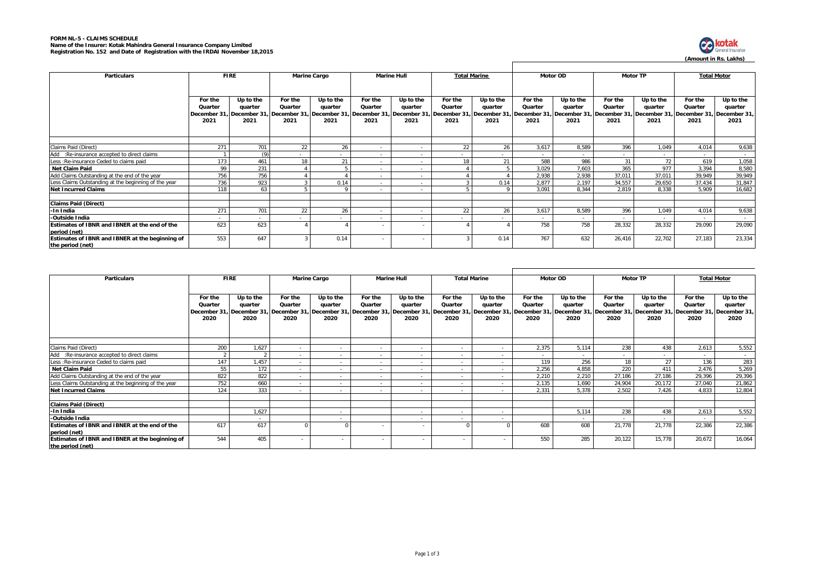## **FORM NL-5 - CLAIMS SCHEDULE Name of the Insurer: Kotak Mahindra General Insurance Company Limited Registration No. 152 and Date of Registration with the IRDAI November 18,2015**



| <b>Particulars</b>                                   |         | <b>FIRE</b>                                                                                                                                                                                                                    | Marine Cargo |           | <b>Marine Hull</b>       |           | <b>Total Marine</b> |                          | <b>Motor OD</b>          |           | <b>Motor TP</b> |           |                          | <b>Total Motor</b> |
|------------------------------------------------------|---------|--------------------------------------------------------------------------------------------------------------------------------------------------------------------------------------------------------------------------------|--------------|-----------|--------------------------|-----------|---------------------|--------------------------|--------------------------|-----------|-----------------|-----------|--------------------------|--------------------|
|                                                      |         |                                                                                                                                                                                                                                |              |           |                          |           |                     |                          |                          |           |                 |           |                          |                    |
|                                                      |         |                                                                                                                                                                                                                                |              |           |                          |           |                     |                          |                          |           |                 |           |                          |                    |
|                                                      | For the | Up to the                                                                                                                                                                                                                      | For the      | Up to the | For the                  | Up to the | For the             | Up to the                | For the                  | Up to the | For the         | Up to the | For the                  | Up to the          |
|                                                      | Quarter | quarter                                                                                                                                                                                                                        | Quarter      | quarter   | Quarter                  | quarter   | Quarter             | quarter                  | Quarter                  | quarter   | Quarter         | quarter   | Quarter                  | quarter            |
|                                                      |         | ,20 December 31, December 31, December 31, December 31, December 31, December 31, December 31, December 31, December 31, December 31, December 31, December 31, December 31, December 31, December 31, December 31, December 3 |              |           |                          |           |                     |                          |                          |           |                 |           |                          |                    |
|                                                      | 2021    | 2021                                                                                                                                                                                                                           | 2021         | 2021      | 2021                     | 2021      | 2021                | 2021                     | 2021                     | 2021      | 2021            | 2021      | 2021                     | 2021               |
|                                                      |         |                                                                                                                                                                                                                                |              |           |                          |           |                     |                          |                          |           |                 |           |                          |                    |
|                                                      |         |                                                                                                                                                                                                                                |              |           |                          |           |                     |                          |                          |           |                 |           |                          |                    |
|                                                      |         |                                                                                                                                                                                                                                |              |           |                          |           |                     |                          |                          |           |                 |           |                          |                    |
| Claims Paid (Direct)                                 | 271     | 701                                                                                                                                                                                                                            | 22           | 26        |                          | $\sim$    | 22                  | 26                       | 3.617                    | 8.589     | 396             | 1.049     | 4.014                    | 9,638              |
| Add :Re-insurance accepted to direct claims          |         | (9)                                                                                                                                                                                                                            |              | $\sim$    |                          | $\sim$    |                     | $\sim$                   | $\sim$                   | $\sim$    |                 | $\sim$    | $\sim$                   |                    |
| Less : Re-insurance Ceded to claims paid             | 173     | 461                                                                                                                                                                                                                            | 18           | 21        |                          | $\sim$    | 18                  | 21                       | 588                      | 986       | 31              | 72        | 619                      | 1,058              |
| Net Claim Paid                                       | 99      | 231                                                                                                                                                                                                                            |              |           | $\overline{\phantom{a}}$ | $\sim$    |                     | 5                        | 3.029                    | 7,603     | 365             | 977       | 3.394                    | 8,580              |
| Add Claims Outstanding at the end of the year        | 756     | 756                                                                                                                                                                                                                            |              |           |                          | $\sim$    |                     |                          | 2.938                    | 2.938     | 37,011          | 37,011    | 39,949                   | 39,949             |
| Less Claims Outstanding at the beginning of the year | 736     | 923                                                                                                                                                                                                                            |              | 0.14      | $\sim$                   | $\sim$    |                     | 0.14                     | 2.877                    | 2.197     | 34,557          | 29,650    | 37.434                   | 31,847             |
| <b>Net Incurred Claims</b>                           | 118     | 63                                                                                                                                                                                                                             |              |           | $\sim$                   | $\sim$    |                     |                          | 3.091                    | 8.344     | 2.819           | 8,338     | 5.909                    | 16,682             |
|                                                      |         |                                                                                                                                                                                                                                |              |           |                          |           |                     |                          |                          |           |                 |           |                          |                    |
| <b>Claims Paid (Direct)</b>                          |         |                                                                                                                                                                                                                                |              |           |                          |           |                     |                          |                          |           |                 |           |                          |                    |
| -In India                                            | 271     | 701                                                                                                                                                                                                                            | 22           | 26        |                          | $\sim$    | 22                  | 26                       | 3.617                    | 8.589     | 396             | 1.049     | 4.014                    | 9,638              |
| -Outside India                                       |         | $\sim$                                                                                                                                                                                                                         |              |           |                          | $\sim$    |                     | $\overline{\phantom{a}}$ | $\overline{\phantom{a}}$ |           |                 |           | $\overline{\phantom{a}}$ | $\sim$             |
| Estimates of IBNR and IBNER at the end of the        | 623     | 623                                                                                                                                                                                                                            |              |           |                          |           |                     |                          | 758                      | 758       | 28,332          | 28,332    | 29,090                   | 29,090             |
| period (net)                                         |         |                                                                                                                                                                                                                                |              |           |                          |           |                     |                          |                          |           |                 |           |                          |                    |
| Estimates of IBNR and IBNER at the beginning of      | 553     | 647                                                                                                                                                                                                                            |              | 0.14      |                          |           |                     | 0.14                     | 767                      | 632       | 26,416          | 22,702    | 27.183                   | 23,334             |
| the period (net)                                     |         |                                                                                                                                                                                                                                |              |           |                          |           |                     |                          |                          |           |                 |           |                          |                    |

| <b>Particulars</b>                                              | <b>FIRE</b>                |                                                                        | <b>Marine Cargo</b>        |                                             | <b>Marine Hull</b>                        |                                             | <b>Total Marine</b>                       |                              | Motor OD                   |                              | <b>Motor TP</b>                                                                                                          |                              | <b>Total Motor</b>         |                              |
|-----------------------------------------------------------------|----------------------------|------------------------------------------------------------------------|----------------------------|---------------------------------------------|-------------------------------------------|---------------------------------------------|-------------------------------------------|------------------------------|----------------------------|------------------------------|--------------------------------------------------------------------------------------------------------------------------|------------------------------|----------------------------|------------------------------|
|                                                                 | For the<br>Quarter<br>2020 | Up to the<br>quarter<br>December 31, December 31, December 31,<br>2020 | For the<br>Quarter<br>2020 | Up to the<br>quarter<br>December 31<br>2020 | For the<br>Quarter<br>December 31<br>2020 | Up to the<br>quarter<br>December 31<br>2020 | For the<br>Quarter<br>December 31<br>2020 | Up to the<br>quarter<br>2020 | For the<br>Quarter<br>2020 | Up to the<br>quarter<br>2020 | For the<br>Quarter<br>December 31, December 31, December 31, December 31, December 31, December 31, December 31,<br>2020 | Up to the<br>quarter<br>2020 | For the<br>Quarter<br>2020 | Up to the<br>quarter<br>2020 |
|                                                                 |                            |                                                                        |                            |                                             |                                           |                                             |                                           |                              |                            |                              |                                                                                                                          |                              |                            |                              |
| Claims Paid (Direct)                                            | 200                        | 1,627                                                                  | $\sim$                     |                                             |                                           | $\sim$                                      |                                           |                              | 2.375                      | 5.114                        | 238                                                                                                                      | 438                          | 2.613                      | 5,552                        |
| Add :Re-insurance accepted to direct claims                     | $\mathcal{P}$              |                                                                        |                            |                                             |                                           |                                             |                                           | $\overline{\phantom{a}}$     |                            | $\sim$                       |                                                                                                                          |                              |                            |                              |
| Less : Re-insurance Ceded to claims paid                        | 147                        | 1,457                                                                  | $\overline{\phantom{a}}$   |                                             |                                           |                                             |                                           | $\overline{\phantom{a}}$     | 119                        | 256                          | 18                                                                                                                       | 27                           | 136                        | 283                          |
| Net Claim Paid                                                  | 55                         | 172                                                                    | $\sim$                     |                                             |                                           |                                             |                                           |                              | 2.256                      | 4,858                        | 220                                                                                                                      | 411                          | 2,476                      | 5,269                        |
| Add Claims Outstanding at the end of the year                   | 822                        | 822                                                                    | $\sim$                     |                                             |                                           | $\sim$                                      |                                           | $\overline{\phantom{a}}$     | 2.210                      | 2,210                        | 27,186                                                                                                                   | 27,186                       | 29,396                     | 29,396                       |
| Less Claims Outstanding at the beginning of the year            | 752                        | 660                                                                    | $\sim$                     |                                             |                                           |                                             |                                           |                              | 2.135                      | 1.690                        | 24,904                                                                                                                   | 20,172                       | 27,040                     | 21,862                       |
| <b>Net Incurred Claims</b>                                      | 124                        | 333                                                                    |                            |                                             |                                           | $\sim$                                      |                                           |                              | 2.331                      | 5.378                        | 2.502                                                                                                                    | 7.426                        | 4.833                      | 12,804                       |
|                                                                 |                            |                                                                        |                            |                                             |                                           |                                             |                                           |                              |                            |                              |                                                                                                                          |                              |                            |                              |
| <b>Claims Paid (Direct)</b>                                     |                            |                                                                        |                            |                                             |                                           |                                             |                                           |                              |                            |                              |                                                                                                                          |                              |                            |                              |
| -In India                                                       |                            | 1,627                                                                  |                            |                                             |                                           | $\overline{\phantom{a}}$                    |                                           |                              |                            | 5,114                        | 238                                                                                                                      | 438                          | 2,613                      | 5,552                        |
| -Outside India                                                  |                            | $\sim$                                                                 |                            |                                             |                                           |                                             |                                           |                              |                            | $\sim$                       |                                                                                                                          |                              |                            | $\sim$                       |
| Estimates of IBNR and IBNER at the end of the                   | 617                        | 617                                                                    |                            |                                             |                                           |                                             |                                           |                              | 608                        | 608                          | 21,778                                                                                                                   | 21,778                       | 22,386                     | 22,386                       |
| period (net)<br>Estimates of IBNR and IBNER at the beginning of | 544                        | 405                                                                    |                            |                                             |                                           |                                             |                                           |                              | 550                        | 285                          | 20,122                                                                                                                   | 15,778                       | 20,672                     | 16,064                       |
| the period (net)                                                |                            |                                                                        |                            |                                             |                                           |                                             |                                           |                              |                            |                              |                                                                                                                          |                              |                            |                              |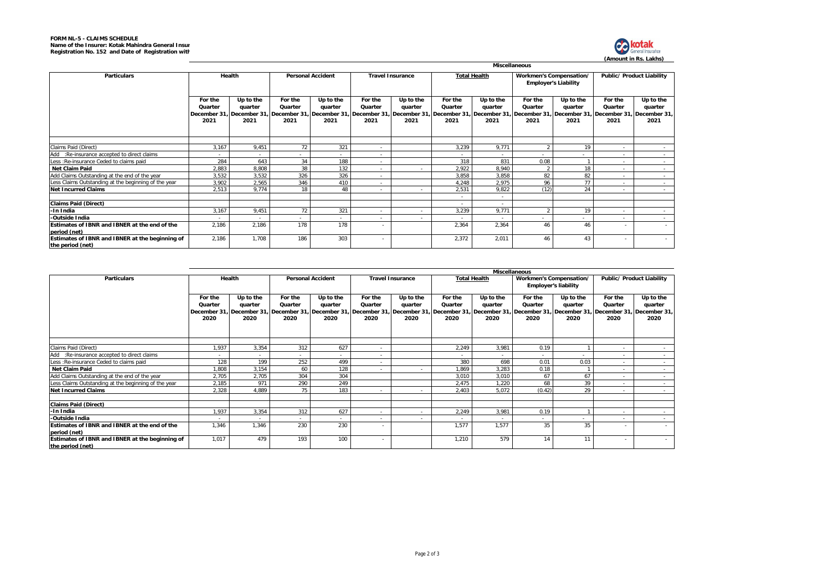

|                                                                     | <b>Miscellaneous</b>       |                              |                            |                              |                            |                              |                            |                              |                                |                              |                            |                                                                                                                                                                                                                                                                |  |  |
|---------------------------------------------------------------------|----------------------------|------------------------------|----------------------------|------------------------------|----------------------------|------------------------------|----------------------------|------------------------------|--------------------------------|------------------------------|----------------------------|----------------------------------------------------------------------------------------------------------------------------------------------------------------------------------------------------------------------------------------------------------------|--|--|
| <b>Particulars</b>                                                  | Health                     |                              | <b>Personal Accident</b>   |                              | <b>Travel Insurance</b>    |                              |                            | <b>Total Health</b>          | <b>Workmen's Compensation/</b> | <b>Employer's Liability</b>  | Public/ Product Liability  |                                                                                                                                                                                                                                                                |  |  |
|                                                                     | For the<br>Quarter<br>2021 | Up to the<br>quarter<br>2021 | For the<br>Quarter<br>2021 | Up to the<br>quarter<br>2021 | For the<br>Quarter<br>2021 | Up to the<br>quarter<br>2021 | For the<br>Quarter<br>2021 | Up to the<br>quarter<br>2021 | For the<br>Quarter<br>2021     | Up to the<br>quarter<br>2021 | For the<br>Quarter<br>2021 | Up to the<br>quarter<br>December 31, December 31, December 31, December 31, December 31, December 31, December 31, December 31, December 31, December 31, December 31, December 31, December 31, December 31, December 31, December 31, December 31, D<br>2021 |  |  |
| Claims Paid (Direct)                                                | 3,167                      | 9,451                        | 72                         | 321                          | $\overline{\phantom{a}}$   |                              | 3,239                      | 9,771                        |                                | 19                           |                            |                                                                                                                                                                                                                                                                |  |  |
| Add :Re-insurance accepted to direct claims                         | $\overline{\phantom{0}}$   | $\sim$                       | $\overline{\phantom{a}}$   |                              |                            |                              |                            | $\sim$                       |                                |                              | $\sim$                     | $\sim 10^{-11}$                                                                                                                                                                                                                                                |  |  |
| Less : Re-insurance Ceded to claims paid                            | 284                        | 643                          | 34                         | 188                          |                            |                              | 318                        | 831                          | 0.08                           |                              |                            | $\sim$                                                                                                                                                                                                                                                         |  |  |
| Net Claim Paid                                                      | 2,883                      | 8,808                        | 38                         | 132                          |                            |                              | 2,922                      | 8,940                        |                                | 18                           |                            | $\sim$                                                                                                                                                                                                                                                         |  |  |
| Add Claims Outstanding at the end of the year                       | 3,532                      | 3,532                        | 326                        | 326                          |                            |                              | 3,858                      | 3,858                        | 82                             | 82                           | $\sim$                     | $\sim$                                                                                                                                                                                                                                                         |  |  |
| Less Claims Outstanding at the beginning of the year                | 3,902                      | 2,565                        | 346                        | 410                          | $\overline{\phantom{a}}$   |                              | 4,248                      | 2,975                        | 96                             | 77                           | $\overline{\phantom{a}}$   | $\sim$                                                                                                                                                                                                                                                         |  |  |
| <b>Net Incurred Claims</b>                                          | 2,513                      | 9,774                        | 18                         | 48                           |                            | $\sim$                       | 2,531                      | 9,822                        | (12)                           | 24                           |                            | $\sim$                                                                                                                                                                                                                                                         |  |  |
|                                                                     |                            |                              |                            |                              |                            |                              |                            | $\sim$                       |                                |                              |                            |                                                                                                                                                                                                                                                                |  |  |
| <b>Claims Paid (Direct)</b>                                         |                            |                              |                            |                              |                            |                              |                            | $\sim$                       |                                |                              |                            |                                                                                                                                                                                                                                                                |  |  |
| -In India                                                           | 3.167                      | 9,451                        | 72                         | 321                          |                            |                              | 3,239                      | 9.771                        |                                | 19                           |                            |                                                                                                                                                                                                                                                                |  |  |
| -Outside India                                                      |                            |                              | $\overline{\phantom{a}}$   | $\overline{\phantom{a}}$     |                            | $\sim$                       |                            |                              |                                | $\sim$                       | $\overline{\phantom{a}}$   | $\sim$                                                                                                                                                                                                                                                         |  |  |
| Estimates of IBNR and IBNER at the end of the<br>period (net)       | 2,186                      | 2,186                        | 178                        | 178                          | $\sim$                     |                              | 2,364                      | 2,364                        | 46                             | 46                           | $\sim$                     | $\sim$                                                                                                                                                                                                                                                         |  |  |
| Estimates of IBNR and IBNER at the beginning of<br>the period (net) | 2,186                      | 1.708                        | 186                        | 303                          | $\sim$                     |                              | 2,372                      | 2,011                        | 46                             | 43                           |                            | $\sim$                                                                                                                                                                                                                                                         |  |  |

|                                                                     |                                           |                              |                                                                      |                              |                            | <b>Miscellaneous</b>                                                  |                            |                                                          |                                                        |                              |                            |                                                                        |  |  |  |
|---------------------------------------------------------------------|-------------------------------------------|------------------------------|----------------------------------------------------------------------|------------------------------|----------------------------|-----------------------------------------------------------------------|----------------------------|----------------------------------------------------------|--------------------------------------------------------|------------------------------|----------------------------|------------------------------------------------------------------------|--|--|--|
| <b>Particulars</b>                                                  | Health                                    |                              | <b>Personal Accident</b>                                             |                              | <b>Travel Insurance</b>    |                                                                       | <b>Total Health</b>        |                                                          | Workmen's Compensation/<br><b>Employer's liability</b> |                              | Public/ Product Liability  |                                                                        |  |  |  |
|                                                                     | For the<br>Quarter<br>December 31<br>2020 | Up to the<br>quarter<br>2020 | For the<br>Quarter<br>December 31, December 31, December 31,<br>2020 | Up to the<br>quarter<br>2020 | For the<br>Quarter<br>2020 | Up to the<br>quarter<br>December 31, December 31, December 31<br>2020 | For the<br>Quarter<br>2020 | Up to the<br>quarter<br>December 31, December 31<br>2020 | For the<br>Quarter<br>2020                             | Up to the<br>quarter<br>2020 | For the<br>Quarter<br>2020 | Up to the<br>quarter<br>December 31, December 31, December 31,<br>2020 |  |  |  |
|                                                                     |                                           |                              |                                                                      |                              |                            |                                                                       |                            |                                                          |                                                        |                              |                            |                                                                        |  |  |  |
| Claims Paid (Direct)                                                | 1.937                                     | 3,354                        | 312                                                                  | 627                          |                            |                                                                       | 2,249                      | 3,981                                                    | 0.19                                                   |                              | $\overline{\phantom{a}}$   |                                                                        |  |  |  |
| Add :Re-insurance accepted to direct claims                         | $\overline{\phantom{a}}$                  |                              |                                                                      |                              |                            |                                                                       |                            | $\sim$                                                   |                                                        | $\sim$                       |                            | $\sim$                                                                 |  |  |  |
| Less : Re-insurance Ceded to claims paid                            | 128                                       | 199                          | 252                                                                  | 499                          | $\overline{\phantom{a}}$   |                                                                       | 380                        | 698                                                      | 0.01                                                   | 0.03                         | $\overline{\phantom{a}}$   | $\sim$                                                                 |  |  |  |
| <b>Net Claim Paid</b>                                               | .808                                      | 3,154                        | 60                                                                   | 128                          | $\overline{a}$             |                                                                       | 1,869                      | 3,283                                                    | 0.18                                                   |                              | $\overline{\phantom{a}}$   | $\sim$                                                                 |  |  |  |
| Add Claims Outstanding at the end of the year                       | 2.705                                     | 2.705                        | 304                                                                  | 304                          |                            |                                                                       | 3.010                      | 3.010                                                    | 67                                                     | 67                           | $\overline{\phantom{a}}$   | $\sim$                                                                 |  |  |  |
| Less Claims Outstanding at the beginning of the year                | 2,185                                     | 971                          | 290                                                                  | 249                          |                            |                                                                       | 2,475                      | 1.220                                                    | 68                                                     | 39                           |                            | $\sim$                                                                 |  |  |  |
| <b>Net Incurred Claims</b>                                          | 2,328                                     | 4,889                        | 75                                                                   | 183                          | $\sim$                     |                                                                       | 2,403                      | 5,072                                                    | (0.42)                                                 | 29                           | $\overline{\phantom{a}}$   | $\sim$                                                                 |  |  |  |
|                                                                     |                                           |                              |                                                                      |                              |                            |                                                                       |                            |                                                          |                                                        |                              |                            |                                                                        |  |  |  |
| <b>Claims Paid (Direct)</b>                                         |                                           |                              |                                                                      |                              |                            |                                                                       |                            |                                                          |                                                        |                              |                            |                                                                        |  |  |  |
| -In India                                                           | 1,937                                     | 3,354                        | 312                                                                  | 627                          | $\overline{a}$             |                                                                       | 2,249                      | 3,981                                                    | 0.19                                                   |                              | $\overline{\phantom{a}}$   | $\sim$                                                                 |  |  |  |
| -Outside India                                                      | $\overline{\phantom{a}}$                  | $\sim$                       | $\sim$                                                               | $\overline{\phantom{a}}$     | $\overline{\phantom{a}}$   |                                                                       | $\overline{\phantom{a}}$   | $\sim$                                                   | $\overline{\phantom{a}}$                               | $\sim$                       | $\overline{\phantom{a}}$   | $\sim$                                                                 |  |  |  |
| Estimates of IBNR and IBNER at the end of the<br>period (net)       | 1,346                                     | 1,346                        | 230                                                                  | 230                          | $\overline{\phantom{a}}$   |                                                                       | 1,577                      | 1,577                                                    | 35                                                     | 35                           | $\overline{\phantom{a}}$   | $\sim$                                                                 |  |  |  |
| Estimates of IBNR and IBNER at the beginning of<br>the period (net) | 1.017                                     | 479                          | 193                                                                  | 100                          | $\overline{\phantom{a}}$   |                                                                       | 1,210                      | 579                                                      | 14                                                     | 11                           |                            | $\sim$                                                                 |  |  |  |